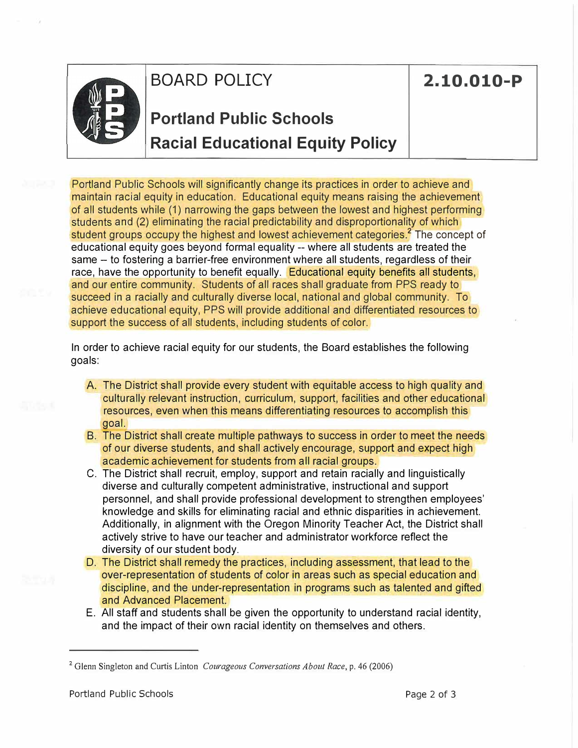

### **BOARD POLICY 2.10.010-P**

## **Portland Public Schools Racial Educational Equity Policy**

Portland Public Schools will significantly change its practices in order to achieve and maintain racial equity in education. Educational equity means raising the achievement of all students while (1) narrowing the gaps between the lowest and highest performing students and (2) eliminating the racial predictability and disproportionality of which student groups occupy the highest and lowest achievement categories.<sup>2</sup> The concept of educational equity goes beyond formal equality -- where all students are treated the same -- to fostering a barrier-free environment where all students, regardless of their race, have the opportunity to benefit equally. Educational equity benefits all students, and our entire community. Students of all races shall graduate from PPS ready to succeed in a racially and culturally diverse local, national and global community. To achieve educational equity, PPS will provide additional and differentiated resources to support the success of all students, including students of color.

In order to achieve racial equity for our students, the Board establishes the following goals:

- A. The District shall provide every student with equitable access to high quality and culturally relevant instruction, curriculum, support, facilities and other educational resources, even when this means differentiating resources to accomplish this goal.
- B. The District shall create multiple pathways to success in order to meet the needs of our diverse students, and shall actively encourage, support and expect high academic achievement for students from all racial groups.
- C. The District shall recruit, employ, support and retain racially and linguistically diverse and culturally competent administrative, instructional and support personnel, and shall provide professional development to strengthen employees' knowledge and skills for eliminating racial and ethnic disparities in achievement. Additionally, in alignment with the Oregon Minority Teacher Act, the District shall actively strive to have our teacher and administrator workforce reflect the diversity of our student body.
- D. The District shall remedy the practices, including assessment, that lead to the over-representation of students of color in areas such as special education and discipline, and the under-representation in programs such as talented and gifted and Advanced Placement.
- E. All staff and students shall be given the opportunity to understand racial identity, and the impact of their own racial identity on themselves and others.

<sup>2</sup> Glenn Singleton and Curtis Linton *Courageous Conversations About Race,* p. 46 (2006)